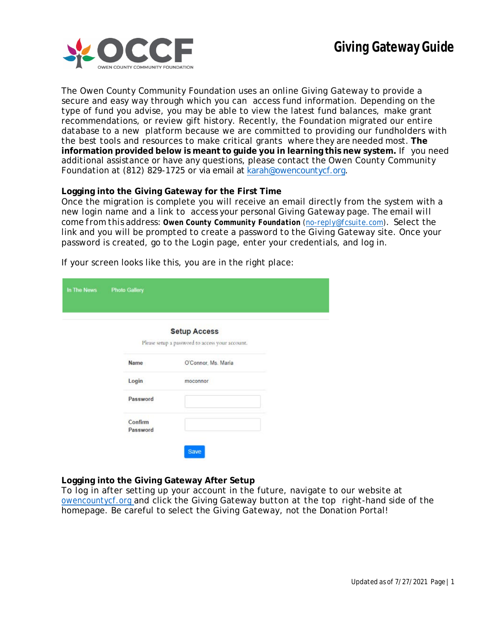

The Owen County Community Foundation uses an online Giving Gateway to provide a secure and easy way through which you can access fund information. Depending on the type of fund you advise, you may be able to view the latest fund balances, make grant recommendations, or review gift history. Recently, the Foundation migrated our entire database to a new platform because we are committed to providing our fundholders with the best tools and resources to make critical grants where they are needed most. **The information provided below is meant to guide you in learning this new system.** If you need additional assistance or have any questions, please contact the Owen County Community Foundation at (812) 829-1725 or via email at [karah@owencountycf.org.](mailto:karah@owencountycf.org)

# **Logging into the Giving Gateway for the First Time**

Once the migration is complete you will receive an email directly from the system with a new login name and a link to access your personal Giving Gateway page. *The email will come from this address: Owen County Community Foundation [\(no-reply@fcsuite.com\)](mailto:no-reply@fcsuite.com).* Select the link and you will be prompted to create a password to the Giving Gateway site. Once your password is created, go to the Login page, enter your credentials, and log in.

| In The News | <b>Photo Gallery</b> |                                                                        |
|-------------|----------------------|------------------------------------------------------------------------|
|             |                      | <b>Setup Access</b><br>Please setup a password to access your account. |
|             | Name                 | O'Connor, Ms. Maria                                                    |
|             | Login                | moconnor                                                               |
|             | Password             |                                                                        |
|             | Confirm<br>Password  |                                                                        |

If your screen looks like this, you are in the right place:

# **Logging into the Giving Gateway After Setup**

To log in after setting up your account in the future, navigate to our website at owencountycf.org and click the Giving Gateway button at the top right-hand side of the homepage. Be careful to select the Giving Gateway, not the Donation Portal!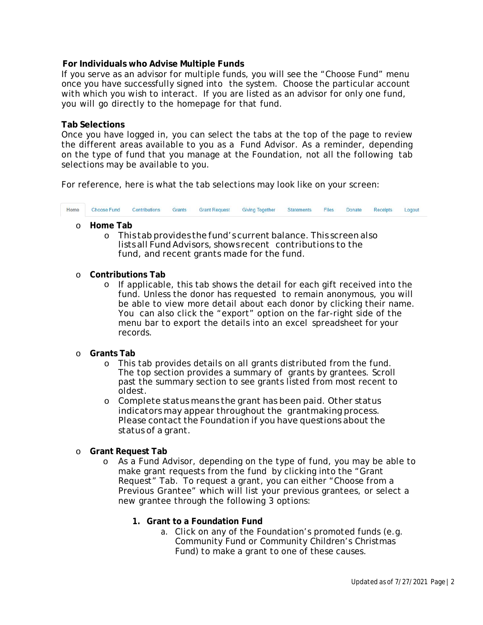# **For Individuals who Advise Multiple Funds**

If you serve as an advisor for multiple funds, you will see the "Choose Fund" menu once you have successfully signed into the system. Choose the particular account with which you wish to interact. If you are listed as an advisor for only one fund, you will go directly to the homepage for that fund.

### **Tab Selections**

Once you have logged in, you can select the tabs at the top of the page to review the different areas available to you as a Fund Advisor. As a reminder, depending on the type of fund that you manage at the Foundation, not all the following tab selections may be available to you.

For reference, here is what the tab selections may look like on your screen:



- o **Home Tab**
	- o This tab provides the fund's current balance. This screen also lists all FundAdvisors, shows recent contributions to the fund, and recent grants made for the fund.

#### o **Contributions Tab**

- o If applicable, this tab shows the detail for each gift received into the fund. Unless the donor has requested to remain anonymous, you will be able to view more detail about each donor by clicking their name. You can also click the "export" option on the far-right side of the menu bar to export the details into an excel spreadsheet for your records.
- o **Grants Tab**
	- o This tab provides details on all grants distributed from the fund. The top section provides a summary of grants by grantees. Scroll past the summary section to see grants listed from most recent to oldest.
	- o Complete status means the grant has been paid. Other status indicators may appear throughout the grantmaking process. Please contact the Foundation if you have questions about the status of a grant.
- o **Grant Request Tab**
	- o As a Fund Advisor, depending on the type of fund, you *may* be able to make grant requests from the fund by clicking into the "Grant Request" Tab. To request a grant, you can either "Choose from a Previous Grantee" which will list your previous grantees, or select a new grantee through the following 3 options:
		- **1. Grant to a Foundation Fund**
			- a. Click on any of the Foundation's promoted funds (e.g. Community Fund or Community Children's Christmas Fund) to make a grant to one of these causes.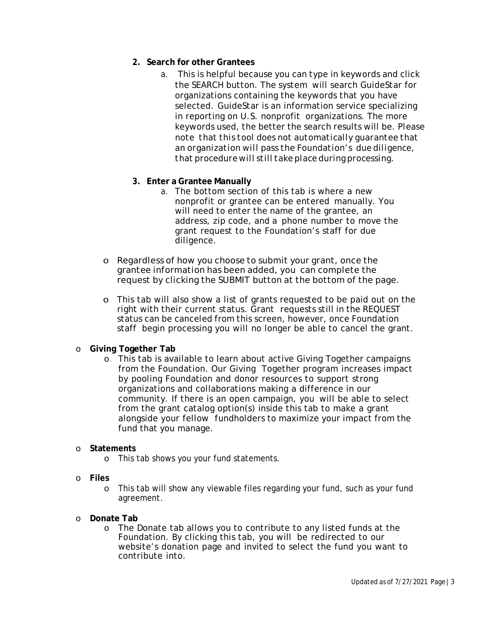- **2. Search for other Grantees**
	- a. This is helpful because you can type in keywords and click the SEARCH button. The system will search GuideStar for organizations containing the keywords that you have selected. GuideStar is an information service specializing in reporting on U.S. nonprofit organizations. The more keywords used, the better the search results will be. *Please note that this tool does not automatically guarantee that an organization will pass the Foundation's due diligence, that procedurewill still takeplaceduring processing.*
- **3. Enter a Grantee Manually**
	- a. The bottom section of this tab is where a new nonprofit or grantee can be entered manually. You will need to enter the name of the grantee, an address, zip code, and a phone number to move the grant request to the Foundation's staff for due diligence.
- o Regardless of how you choose to submit your grant, once the grantee information has been added, you can complete the request by clicking the SUBMIT button at the bottom of the page.
- o This tab will also show a list of grants requested to be paid out on the right with their current status. Grant requests still in the REQUEST status can be canceled from this screen, however, once Foundation staff begin processing you will no longer be able to cancel the grant.
- o **Giving Together Tab**
	- o This tab is available to learn about active Giving Together campaigns from the Foundation. Our Giving Together program increases impact by pooling Foundation and donor resources to support strong organizations and collaborations making a difference in our community. If there is an open campaign, you will be able to select from the grant catalog option(s) inside this tab to make a grant alongside your fellow fundholders to maximize your impact from the fund that you manage.

### o **Statements**

- o This tab shows you your fund statements.
- o **Files**
	- o This tab will show any viewable files regarding your fund, such as your fund agreement.
- o **Donate Tab**
	- o The Donate tab allows you to contribute to any listed funds at the Foundation. By clicking this tab, you will be redirected to our website's donation page and invited to select the fund you want to contribute into.